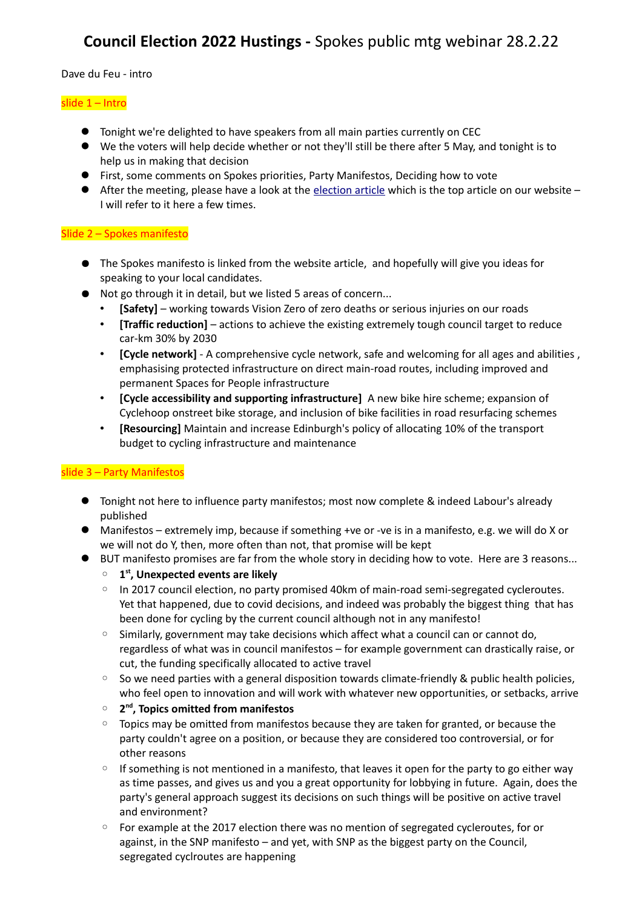# **Council Election 2022 Hustings -** Spokes public mtg webinar 28.2.22

Dave du Feu - intro

### slide 1 – Intro

- Tonight we're delighted to have speakers from all main parties currently on CEC
- We the voters will help decide whether or not they'll still be there after 5 May, and tonight is to help us in making that decision
- First, some comments on Spokes priorities, Party Manifestos, Deciding how to vote
- After the meeting, please have a look at the [election article](http://www.spokes.org.uk/2022/02/thurs-5-may-2022-council-elections/) which is the top article on our website I will refer to it here a few times.

## Slide 2 – Spokes manifesto

- The Spokes manifesto is linked from the website article, and hopefully will give you ideas for speaking to your local candidates.
- Not go through it in detail, but we listed 5 areas of concern...
	- **[Safety]** working towards Vision Zero of zero deaths or serious injuries on our roads
	- **[Traffic reduction]** actions to achieve the existing extremely tough council target to reduce car-km 30% by 2030
	- **[Cycle network]** A comprehensive cycle network, safe and welcoming for all ages and abilities , emphasising protected infrastructure on direct main-road routes, including improved and permanent Spaces for People infrastructure
	- **[Cycle accessibility and supporting infrastructure]** A new bike hire scheme; expansion of Cyclehoop onstreet bike storage, and inclusion of bike facilities in road resurfacing schemes
	- **[Resourcing]** Maintain and increase Edinburgh's policy of allocating 10% of the transport budget to cycling infrastructure and maintenance

## slide 3 – Party Manifestos

- **•** Tonight not here to influence party manifestos; most now complete & indeed Labour's already published
- Manifestos extremely imp, because if something +ve or -ve is in a manifesto, e.g. we will do X or we will not do Y, then, more often than not, that promise will be kept
- BUT manifesto promises are far from the whole story in deciding how to vote. Here are 3 reasons...
	- **1 st, Unexpected events are likely**
	- In 2017 council election, no party promised 40km of main-road semi-segregated cycleroutes. Yet that happened, due to covid decisions, and indeed was probably the biggest thing that has been done for cycling by the current council although not in any manifesto!
	- Similarly, government may take decisions which affect what a council can or cannot do, regardless of what was in council manifestos – for example government can drastically raise, or cut, the funding specifically allocated to active travel
	- So we need parties with a general disposition towards climate-friendly & public health policies, who feel open to innovation and will work with whatever new opportunities, or setbacks, arrive
	- **2<sup>nd</sup>, Topics omitted from manifestos**
	- Topics may be omitted from manifestos because they are taken for granted, or because the party couldn't agree on a position, or because they are considered too controversial, or for other reasons
	- If something is not mentioned in a manifesto, that leaves it open for the party to go either way as time passes, and gives us and you a great opportunity for lobbying in future. Again, does the party's general approach suggest its decisions on such things will be positive on active travel and environment?
	- For example at the 2017 election there was no mention of segregated cycleroutes, for or against, in the SNP manifesto – and yet, with SNP as the biggest party on the Council, segregated cyclroutes are happening